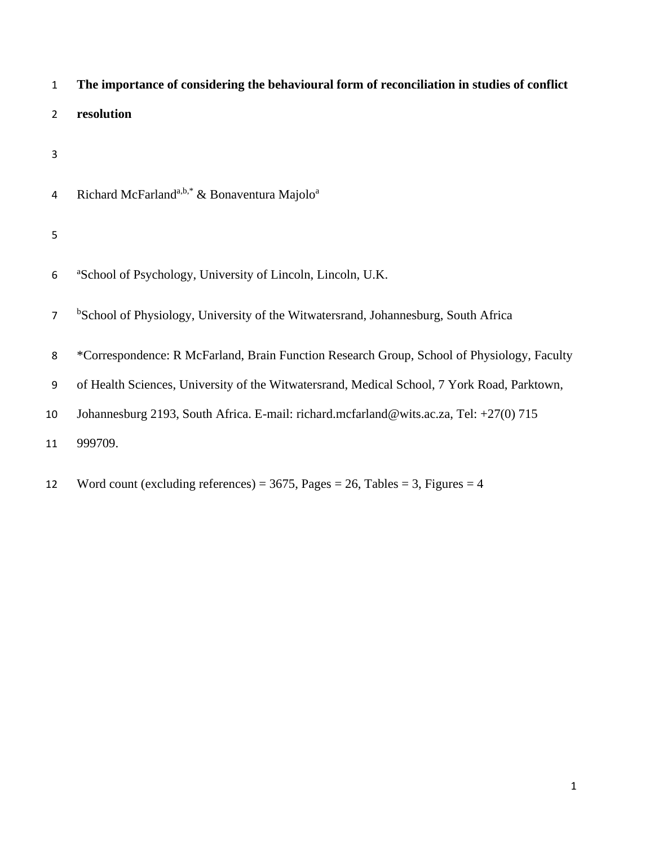| $\mathbf{1}$   | The importance of considering the behavioural form of reconciliation in studies of conflict    |
|----------------|------------------------------------------------------------------------------------------------|
| $\overline{2}$ | resolution                                                                                     |
| 3              |                                                                                                |
| 4              | Richard McFarland <sup>a,b,*</sup> & Bonaventura Majolo <sup>a</sup>                           |
| 5              |                                                                                                |
| 6              | <sup>a</sup> School of Psychology, University of Lincoln, Lincoln, U.K.                        |
| $\overline{7}$ | <sup>b</sup> School of Physiology, University of the Witwatersrand, Johannesburg, South Africa |
| 8              | *Correspondence: R McFarland, Brain Function Research Group, School of Physiology, Faculty     |
| 9              | of Health Sciences, University of the Witwatersrand, Medical School, 7 York Road, Parktown,    |
| 10             | Johannesburg 2193, South Africa. E-mail: richard.mcfarland@wits.ac.za, Tel: +27(0) 715         |
| 11             | 999709.                                                                                        |
|                |                                                                                                |

12 Word count (excluding references) = , Pages = 26, Tables = 3, Figures = 4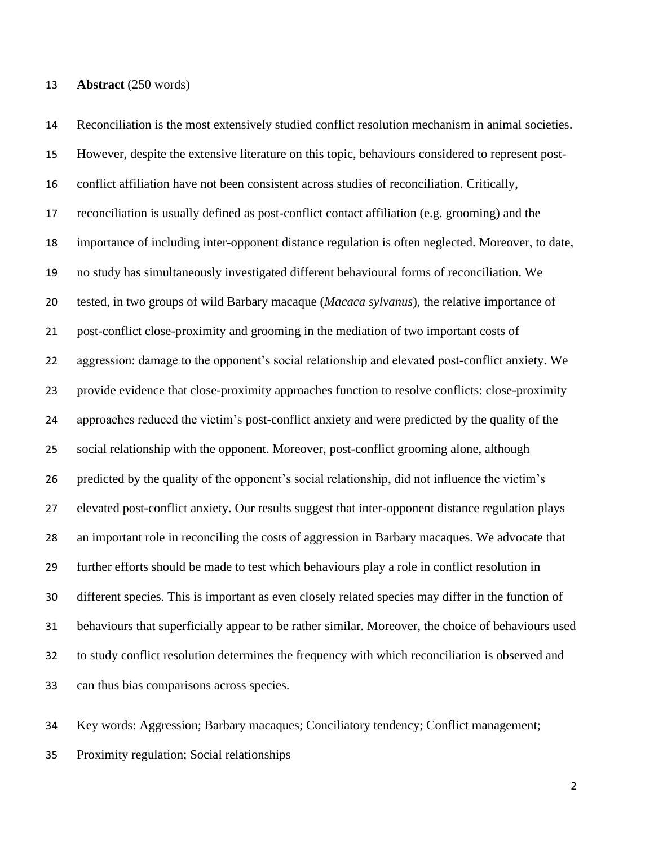### **Abstract** (250 words)

 Reconciliation is the most extensively studied conflict resolution mechanism in animal societies. However, despite the extensive literature on this topic, behaviours considered to represent post- conflict affiliation have not been consistent across studies of reconciliation. Critically, reconciliation is usually defined as post-conflict contact affiliation (e.g. grooming) and the importance of including inter-opponent distance regulation is often neglected. Moreover, to date, no study has simultaneously investigated different behavioural forms of reconciliation. We tested, in two groups of wild Barbary macaque (*Macaca sylvanus*), the relative importance of post-conflict close-proximity and grooming in the mediation of two important costs of aggression: damage to the opponent's social relationship and elevated post-conflict anxiety. We provide evidence that close-proximity approaches function to resolve conflicts: close-proximity approaches reduced the victim's post-conflict anxiety and were predicted by the quality of the social relationship with the opponent. Moreover, post-conflict grooming alone, although predicted by the quality of the opponent's social relationship, did not influence the victim's elevated post-conflict anxiety. Our results suggest that inter-opponent distance regulation plays an important role in reconciling the costs of aggression in Barbary macaques. We advocate that further efforts should be made to test which behaviours play a role in conflict resolution in different species. This is important as even closely related species may differ in the function of behaviours that superficially appear to be rather similar. Moreover, the choice of behaviours used to study conflict resolution determines the frequency with which reconciliation is observed and can thus bias comparisons across species.

 Key words: Aggression; Barbary macaques; Conciliatory tendency; Conflict management; Proximity regulation; Social relationships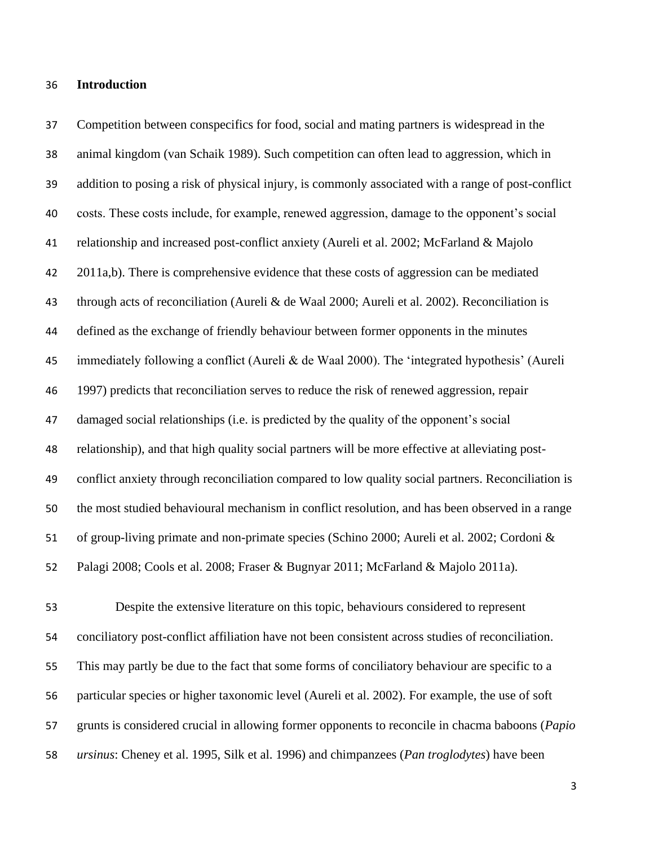#### **Introduction**

 Competition between conspecifics for food, social and mating partners is widespread in the animal kingdom (van Schaik 1989). Such competition can often lead to aggression, which in addition to posing a risk of physical injury, is commonly associated with a range of post-conflict costs. These costs include, for example, renewed aggression, damage to the opponent's social relationship and increased post-conflict anxiety (Aureli et al. 2002; McFarland & Majolo 2011a,b). There is comprehensive evidence that these costs of aggression can be mediated through acts of reconciliation (Aureli & de Waal 2000; Aureli et al. 2002). Reconciliation is defined as the exchange of friendly behaviour between former opponents in the minutes immediately following a conflict (Aureli & de Waal 2000). The 'integrated hypothesis' (Aureli 1997) predicts that reconciliation serves to reduce the risk of renewed aggression, repair damaged social relationships (i.e. is predicted by the quality of the opponent's social relationship), and that high quality social partners will be more effective at alleviating post- conflict anxiety through reconciliation compared to low quality social partners. Reconciliation is the most studied behavioural mechanism in conflict resolution, and has been observed in a range of group-living primate and non-primate species (Schino 2000; Aureli et al. 2002; Cordoni & Palagi 2008; Cools et al. 2008; Fraser & Bugnyar 2011; McFarland & Majolo 2011a).

 Despite the extensive literature on this topic, behaviours considered to represent conciliatory post-conflict affiliation have not been consistent across studies of reconciliation. This may partly be due to the fact that some forms of conciliatory behaviour are specific to a particular species or higher taxonomic level (Aureli et al. 2002). For example, the use of soft grunts is considered crucial in allowing former opponents to reconcile in chacma baboons (*Papio ursinus*: Cheney et al. 1995, Silk et al. 1996) and chimpanzees (*Pan troglodytes*) have been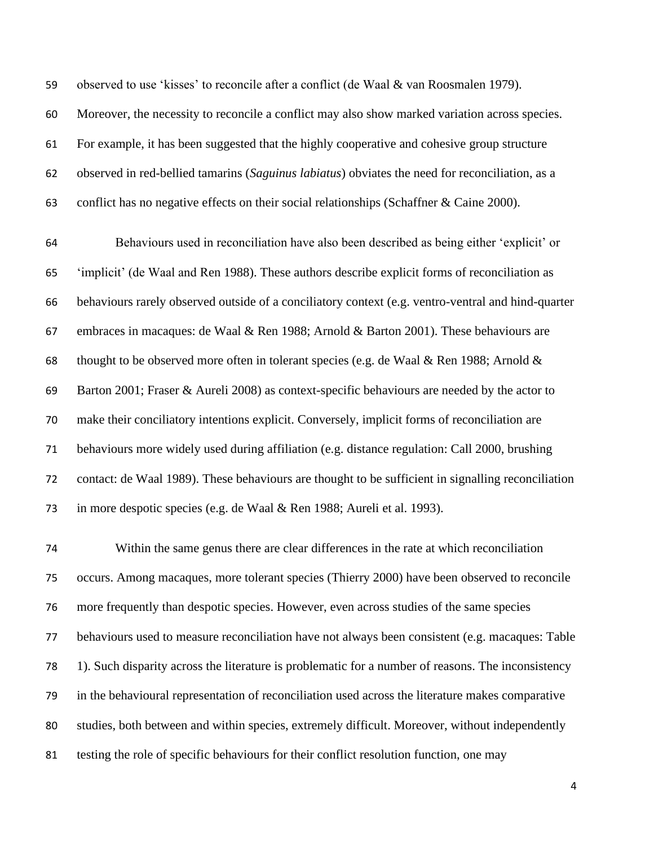observed to use 'kisses' to reconcile after a conflict (de Waal & van Roosmalen 1979).

Moreover, the necessity to reconcile a conflict may also show marked variation across species.

For example, it has been suggested that the highly cooperative and cohesive group structure

observed in red-bellied tamarins (*Saguinus labiatus*) obviates the need for reconciliation, as a

conflict has no negative effects on their social relationships (Schaffner & Caine 2000).

 Behaviours used in reconciliation have also been described as being either 'explicit' or 'implicit' (de Waal and Ren 1988). These authors describe explicit forms of reconciliation as behaviours rarely observed outside of a conciliatory context (e.g. ventro-ventral and hind-quarter embraces in macaques: de Waal & Ren 1988; Arnold & Barton 2001). These behaviours are 68 thought to be observed more often in tolerant species (e.g. de Waal & Ren 1988; Arnold & Barton 2001; Fraser & Aureli 2008) as context-specific behaviours are needed by the actor to make their conciliatory intentions explicit. Conversely, implicit forms of reconciliation are behaviours more widely used during affiliation (e.g. distance regulation: Call 2000, brushing contact: de Waal 1989). These behaviours are thought to be sufficient in signalling reconciliation in more despotic species (e.g. de Waal & Ren 1988; Aureli et al. 1993).

 Within the same genus there are clear differences in the rate at which reconciliation occurs. Among macaques, more tolerant species (Thierry 2000) have been observed to reconcile more frequently than despotic species. However, even across studies of the same species behaviours used to measure reconciliation have not always been consistent (e.g. macaques: Table 1). Such disparity across the literature is problematic for a number of reasons. The inconsistency in the behavioural representation of reconciliation used across the literature makes comparative studies, both between and within species, extremely difficult. Moreover, without independently testing the role of specific behaviours for their conflict resolution function, one may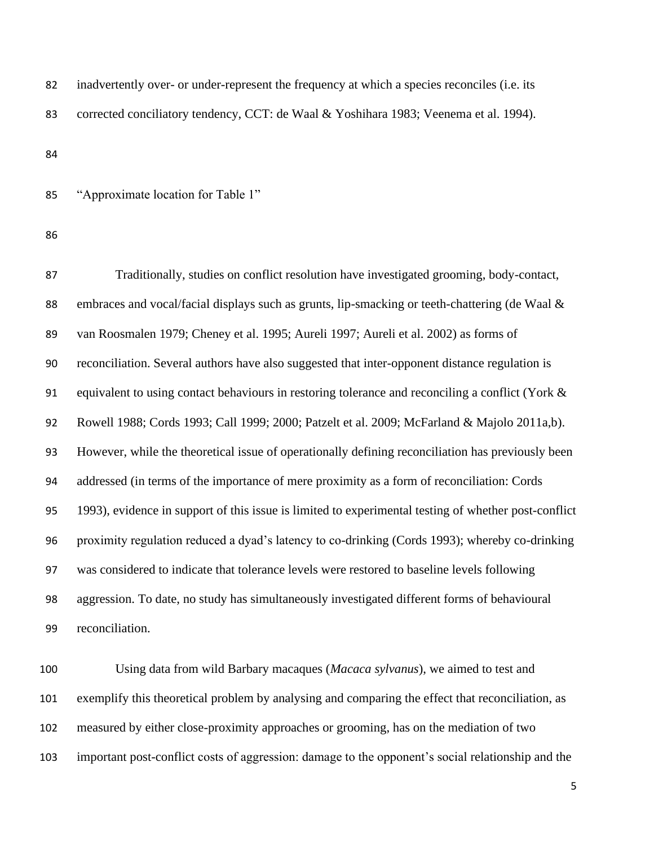| 82 | inadvertently over- or under-represent the frequency at which a species reconciles (i.e. its |
|----|----------------------------------------------------------------------------------------------|
| 83 | corrected conciliatory tendency, CCT: de Waal & Yoshihara 1983; Veenema et al. 1994).        |
| 84 |                                                                                              |
| 85 | "Approximate location for Table 1"                                                           |

 Traditionally, studies on conflict resolution have investigated grooming, body-contact, 88 embraces and vocal/facial displays such as grunts, lip-smacking or teeth-chattering (de Waal & van Roosmalen 1979; Cheney et al. 1995; Aureli 1997; Aureli et al. 2002) as forms of reconciliation. Several authors have also suggested that inter-opponent distance regulation is 91 equivalent to using contact behaviours in restoring tolerance and reconciling a conflict (York & Rowell 1988; Cords 1993; Call 1999; 2000; Patzelt et al. 2009; McFarland & Majolo 2011a,b). However, while the theoretical issue of operationally defining reconciliation has previously been addressed (in terms of the importance of mere proximity as a form of reconciliation: Cords 1993), evidence in support of this issue is limited to experimental testing of whether post-conflict proximity regulation reduced a dyad's latency to co-drinking (Cords 1993); whereby co-drinking was considered to indicate that tolerance levels were restored to baseline levels following aggression. To date, no study has simultaneously investigated different forms of behavioural reconciliation.

 Using data from wild Barbary macaques (*Macaca sylvanus*), we aimed to test and exemplify this theoretical problem by analysing and comparing the effect that reconciliation, as measured by either close-proximity approaches or grooming, has on the mediation of two important post-conflict costs of aggression: damage to the opponent's social relationship and the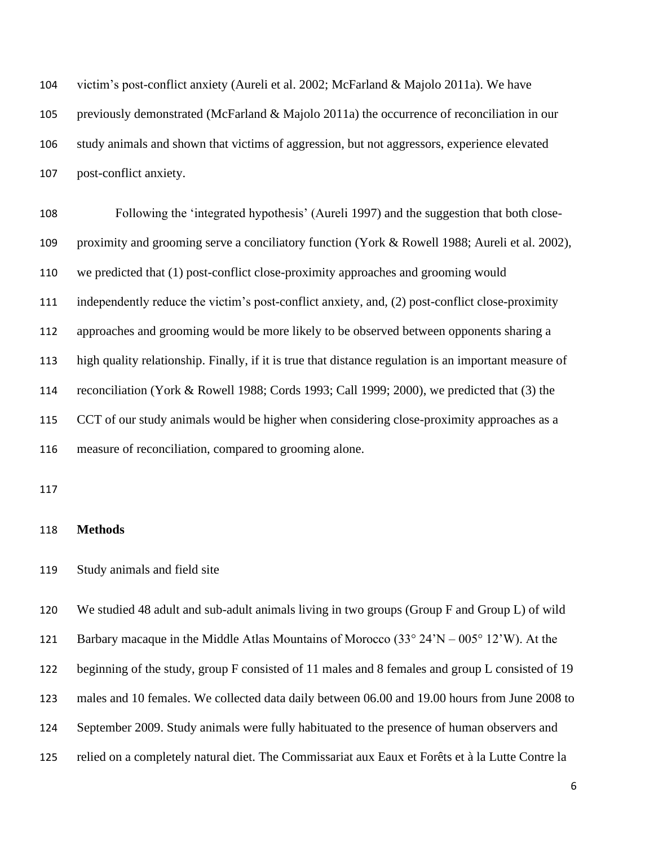victim's post-conflict anxiety (Aureli et al. 2002; McFarland & Majolo 2011a). We have previously demonstrated (McFarland & Majolo 2011a) the occurrence of reconciliation in our study animals and shown that victims of aggression, but not aggressors, experience elevated post-conflict anxiety.

 Following the 'integrated hypothesis' (Aureli 1997) and the suggestion that both close- proximity and grooming serve a conciliatory function (York & Rowell 1988; Aureli et al. 2002), we predicted that (1) post-conflict close-proximity approaches and grooming would independently reduce the victim's post-conflict anxiety, and, (2) post-conflict close-proximity approaches and grooming would be more likely to be observed between opponents sharing a high quality relationship. Finally, if it is true that distance regulation is an important measure of reconciliation (York & Rowell 1988; Cords 1993; Call 1999; 2000), we predicted that (3) the CCT of our study animals would be higher when considering close-proximity approaches as a measure of reconciliation, compared to grooming alone.

### **Methods**

Study animals and field site

 We studied 48 adult and sub-adult animals living in two groups (Group F and Group L) of wild 121 Barbary macaque in the Middle Atlas Mountains of Morocco  $(33^{\circ} \ 24' N - 005^{\circ} \ 12' W)$ . At the 122 beginning of the study, group F consisted of 11 males and 8 females and group L consisted of 19 males and 10 females. We collected data daily between 06.00 and 19.00 hours from June 2008 to September 2009. Study animals were fully habituated to the presence of human observers and relied on a completely natural diet. The Commissariat aux Eaux et Forêts et à la Lutte Contre la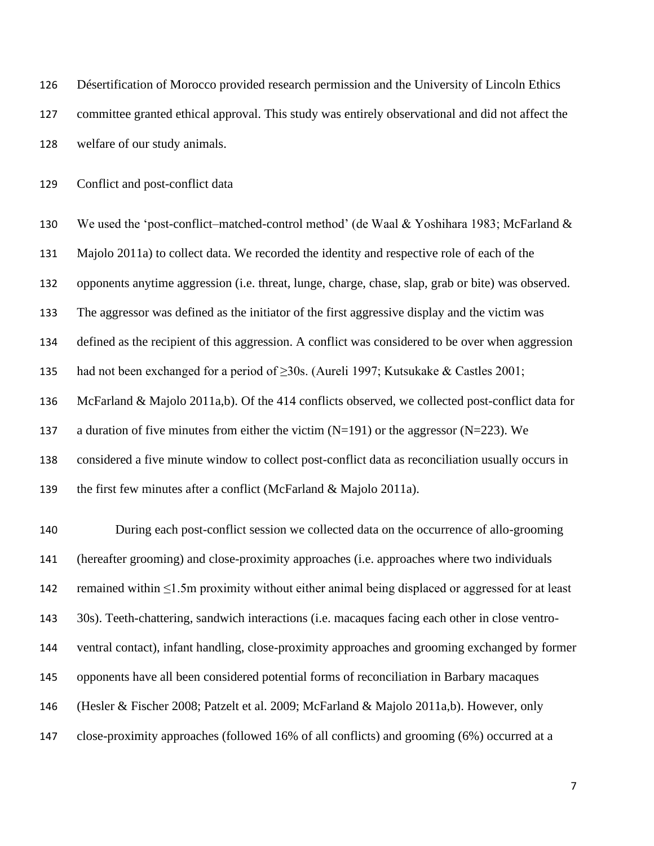Désertification of Morocco provided research permission and the University of Lincoln Ethics committee granted ethical approval. This study was entirely observational and did not affect the welfare of our study animals. Conflict and post-conflict data We used the 'post-conflict–matched-control method' (de Waal & Yoshihara 1983; McFarland & Majolo 2011a) to collect data. We recorded the identity and respective role of each of the

opponents anytime aggression (i.e. threat, lunge, charge, chase, slap, grab or bite) was observed.

The aggressor was defined as the initiator of the first aggressive display and the victim was

defined as the recipient of this aggression. A conflict was considered to be over when aggression

135 had not been exchanged for a period of  $\geq$ 30s. (Aureli 1997; Kutsukake & Castles 2001;

McFarland & Majolo 2011a,b). Of the 414 conflicts observed, we collected post-conflict data for

137 a duration of five minutes from either the victim  $(N=191)$  or the aggressor  $(N=223)$ . We

considered a five minute window to collect post-conflict data as reconciliation usually occurs in

the first few minutes after a conflict (McFarland & Majolo 2011a).

 During each post-conflict session we collected data on the occurrence of allo-grooming (hereafter grooming) and close-proximity approaches (i.e. approaches where two individuals remained within ≤1.5m proximity without either animal being displaced or aggressed for at least 30s). Teeth-chattering, sandwich interactions (i.e. macaques facing each other in close ventro- ventral contact), infant handling, close-proximity approaches and grooming exchanged by former opponents have all been considered potential forms of reconciliation in Barbary macaques (Hesler & Fischer 2008; Patzelt et al. 2009; McFarland & Majolo 2011a,b). However, only close-proximity approaches (followed 16% of all conflicts) and grooming (6%) occurred at a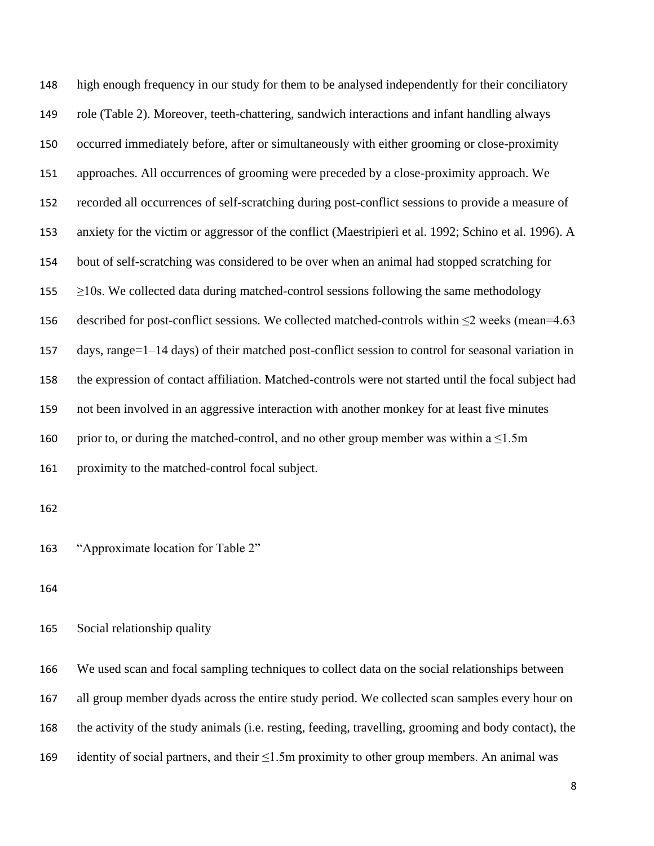high enough frequency in our study for them to be analysed independently for their conciliatory role (Table 2). Moreover, teeth-chattering, sandwich interactions and infant handling always occurred immediately before, after or simultaneously with either grooming or close-proximity approaches. All occurrences of grooming were preceded by a close-proximity approach. We recorded all occurrences of self-scratching during post-conflict sessions to provide a measure of anxiety for the victim or aggressor of the conflict (Maestripieri et al. 1992; Schino et al. 1996). A bout of self-scratching was considered to be over when an animal had stopped scratching for  $\geq$ 10s. We collected data during matched-control sessions following the same methodology 156 described for post-conflict sessions. We collected matched-controls within  $\leq$ 2 weeks (mean=4.63 days, range=1–14 days) of their matched post-conflict session to control for seasonal variation in the expression of contact affiliation. Matched-controls were not started until the focal subject had not been involved in an aggressive interaction with another monkey for at least five minutes 160 prior to, or during the matched-control, and no other group member was within a  $\leq 1.5$ m proximity to the matched-control focal subject.

"Approximate location for Table 2"

Social relationship quality

 We used scan and focal sampling techniques to collect data on the social relationships between all group member dyads across the entire study period. We collected scan samples every hour on the activity of the study animals (i.e. resting, feeding, travelling, grooming and body contact), the identity of social partners, and their ≤1.5m proximity to other group members. An animal was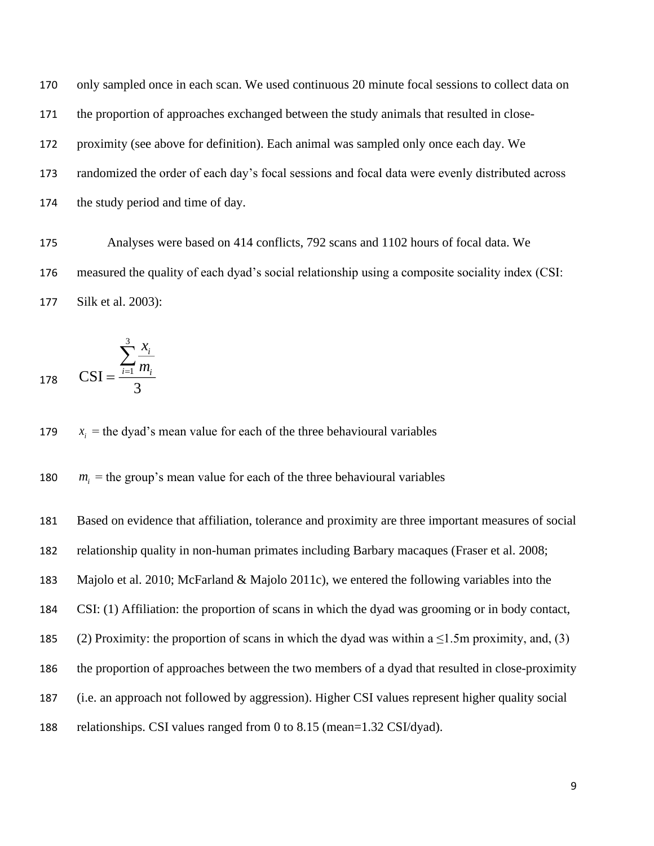only sampled once in each scan. We used continuous 20 minute focal sessions to collect data on the proportion of approaches exchanged between the study animals that resulted in close- proximity (see above for definition). Each animal was sampled only once each day. We randomized the order of each day's focal sessions and focal data were evenly distributed across the study period and time of day.

 Analyses were based on 414 conflicts, 792 scans and 1102 hours of focal data. We measured the quality of each dyad's social relationship using a composite sociality index (CSI: Silk et al. 2003):

178 
$$
CSI = \frac{\sum_{i=1}^{3} x_i}{\sum_{i=1}^{3} m_i}
$$

 $x_i$  = the dyad's mean value for each of the three behavioural variables 

  $m<sub>i</sub>$  = the group's mean value for each of the three behavioural variables

 Based on evidence that affiliation, tolerance and proximity are three important measures of social relationship quality in non-human primates including Barbary macaques (Fraser et al. 2008; Majolo et al. 2010; McFarland & Majolo 2011c), we entered the following variables into the CSI: (1) Affiliation: the proportion of scans in which the dyad was grooming or in body contact, 185 (2) Proximity: the proportion of scans in which the dyad was within a  $\leq 1.5$ m proximity, and, (3) the proportion of approaches between the two members of a dyad that resulted in close-proximity (i.e. an approach not followed by aggression). Higher CSI values represent higher quality social relationships. CSI values ranged from 0 to 8.15 (mean=1.32 CSI/dyad).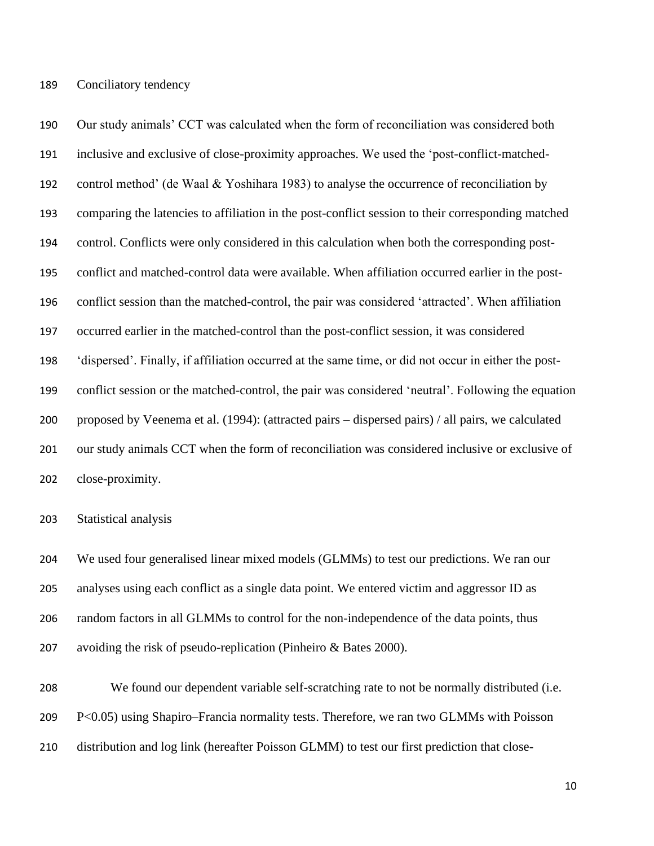Our study animals' CCT was calculated when the form of reconciliation was considered both inclusive and exclusive of close-proximity approaches. We used the 'post-conflict-matched- control method' (de Waal & Yoshihara 1983) to analyse the occurrence of reconciliation by comparing the latencies to affiliation in the post-conflict session to their corresponding matched control. Conflicts were only considered in this calculation when both the corresponding post- conflict and matched-control data were available. When affiliation occurred earlier in the post- conflict session than the matched-control, the pair was considered 'attracted'. When affiliation occurred earlier in the matched-control than the post-conflict session, it was considered 'dispersed'. Finally, if affiliation occurred at the same time, or did not occur in either the post- conflict session or the matched-control, the pair was considered 'neutral'. Following the equation proposed by Veenema et al. (1994): (attracted pairs – dispersed pairs) / all pairs, we calculated our study animals CCT when the form of reconciliation was considered inclusive or exclusive of close-proximity.

Statistical analysis

 We used four generalised linear mixed models (GLMMs) to test our predictions. We ran our analyses using each conflict as a single data point. We entered victim and aggressor ID as random factors in all GLMMs to control for the non-independence of the data points, thus avoiding the risk of pseudo-replication (Pinheiro & Bates 2000).

 We found our dependent variable self-scratching rate to not be normally distributed (i.e. P<0.05) using Shapiro–Francia normality tests. Therefore, we ran two GLMMs with Poisson distribution and log link (hereafter Poisson GLMM) to test our first prediction that close-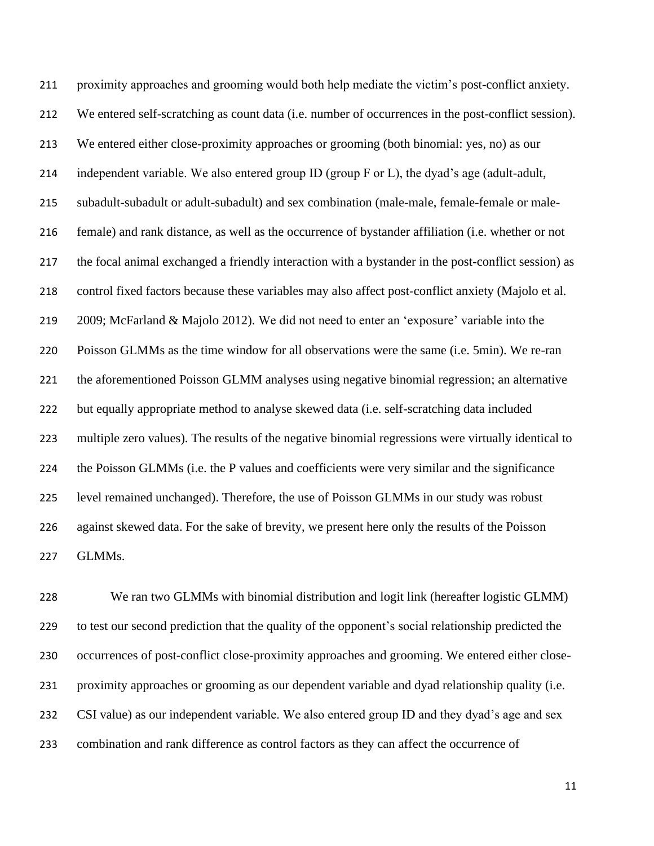proximity approaches and grooming would both help mediate the victim's post-conflict anxiety. We entered self-scratching as count data (i.e. number of occurrences in the post-conflict session). We entered either close-proximity approaches or grooming (both binomial: yes, no) as our independent variable. We also entered group ID (group F or L), the dyad's age (adult-adult, subadult-subadult or adult-subadult) and sex combination (male-male, female-female or male- female) and rank distance, as well as the occurrence of bystander affiliation (i.e. whether or not the focal animal exchanged a friendly interaction with a bystander in the post-conflict session) as control fixed factors because these variables may also affect post-conflict anxiety (Majolo et al. 2009; McFarland & Majolo 2012). We did not need to enter an 'exposure' variable into the Poisson GLMMs as the time window for all observations were the same (i.e. 5min). We re-ran the aforementioned Poisson GLMM analyses using negative binomial regression; an alternative but equally appropriate method to analyse skewed data (i.e. self-scratching data included multiple zero values). The results of the negative binomial regressions were virtually identical to the Poisson GLMMs (i.e. the P values and coefficients were very similar and the significance level remained unchanged). Therefore, the use of Poisson GLMMs in our study was robust against skewed data. For the sake of brevity, we present here only the results of the Poisson GLMMs.

 We ran two GLMMs with binomial distribution and logit link (hereafter logistic GLMM) to test our second prediction that the quality of the opponent's social relationship predicted the occurrences of post-conflict close-proximity approaches and grooming. We entered either close- proximity approaches or grooming as our dependent variable and dyad relationship quality (i.e. CSI value) as our independent variable. We also entered group ID and they dyad's age and sex combination and rank difference as control factors as they can affect the occurrence of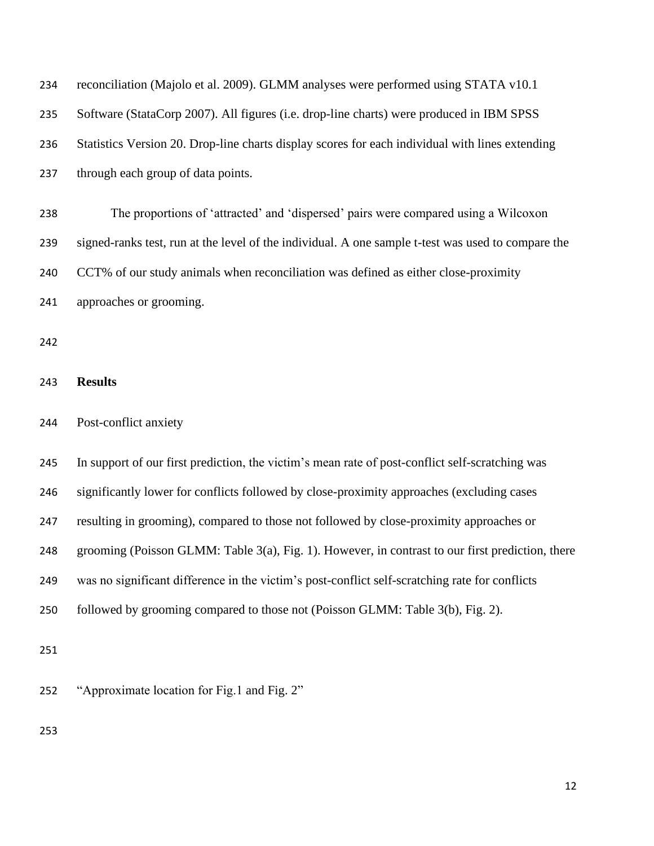| 234 | reconciliation (Majolo et al. 2009). GLMM analyses were performed using STATA v10.1                 |
|-----|-----------------------------------------------------------------------------------------------------|
| 235 | Software (StataCorp 2007). All figures (i.e. drop-line charts) were produced in IBM SPSS            |
| 236 | Statistics Version 20. Drop-line charts display scores for each individual with lines extending     |
| 237 | through each group of data points.                                                                  |
| 238 | The proportions of 'attracted' and 'dispersed' pairs were compared using a Wilcoxon                 |
| 239 | signed-ranks test, run at the level of the individual. A one sample t-test was used to compare the  |
| 240 | CCT% of our study animals when reconciliation was defined as either close-proximity                 |
| 241 | approaches or grooming.                                                                             |
| 242 |                                                                                                     |
| 243 | <b>Results</b>                                                                                      |
| 244 | Post-conflict anxiety                                                                               |
| 245 | In support of our first prediction, the victim's mean rate of post-conflict self-scratching was     |
| 246 | significantly lower for conflicts followed by close-proximity approaches (excluding cases           |
| 247 | resulting in grooming), compared to those not followed by close-proximity approaches or             |
| 248 | grooming (Poisson GLMM: Table $3(a)$ , Fig. 1). However, in contrast to our first prediction, there |
| 249 | was no significant difference in the victim's post-conflict self-scratching rate for conflicts      |
| 250 | followed by grooming compared to those not (Poisson GLMM: Table 3(b), Fig. 2).                      |
| 251 |                                                                                                     |
| 252 | "Approximate location for Fig.1 and Fig. 2"                                                         |
| 253 |                                                                                                     |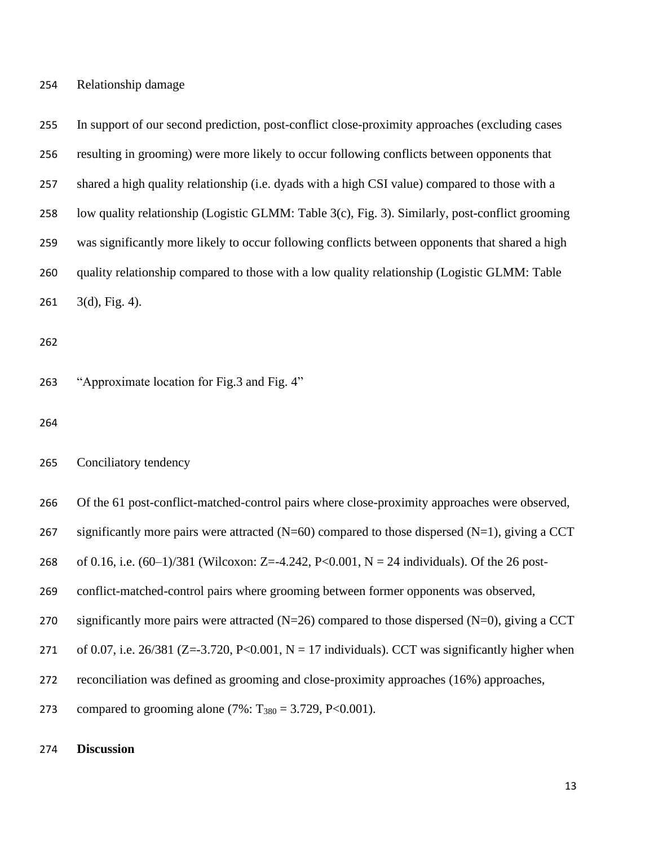In support of our second prediction, post-conflict close-proximity approaches (excluding cases resulting in grooming) were more likely to occur following conflicts between opponents that shared a high quality relationship (i.e. dyads with a high CSI value) compared to those with a low quality relationship (Logistic GLMM: Table 3(c), Fig. 3). Similarly, post-conflict grooming was significantly more likely to occur following conflicts between opponents that shared a high quality relationship compared to those with a low quality relationship (Logistic GLMM: Table  $261 \quad 3(d)$ , Fig. 4).

"Approximate location for Fig.3 and Fig. 4"

Conciliatory tendency

Of the 61 post-conflict-matched-control pairs where close-proximity approaches were observed,

267 significantly more pairs were attracted  $(N=60)$  compared to those dispersed  $(N=1)$ , giving a CCT

of 0.16, i.e. (60–1)/381 (Wilcoxon: Z=-4.242, P<0.001, N = 24 individuals). Of the 26 post-

conflict-matched-control pairs where grooming between former opponents was observed,

270 significantly more pairs were attracted  $(N=26)$  compared to those dispersed  $(N=0)$ , giving a CCT

271 of 0.07, i.e. 26/381 (Z=-3.720, P<0.001, N = 17 individuals). CCT was significantly higher when

reconciliation was defined as grooming and close-proximity approaches (16%) approaches,

273 compared to grooming alone  $(7\% : T_{380} = 3.729, P < 0.001)$ .

# **Discussion**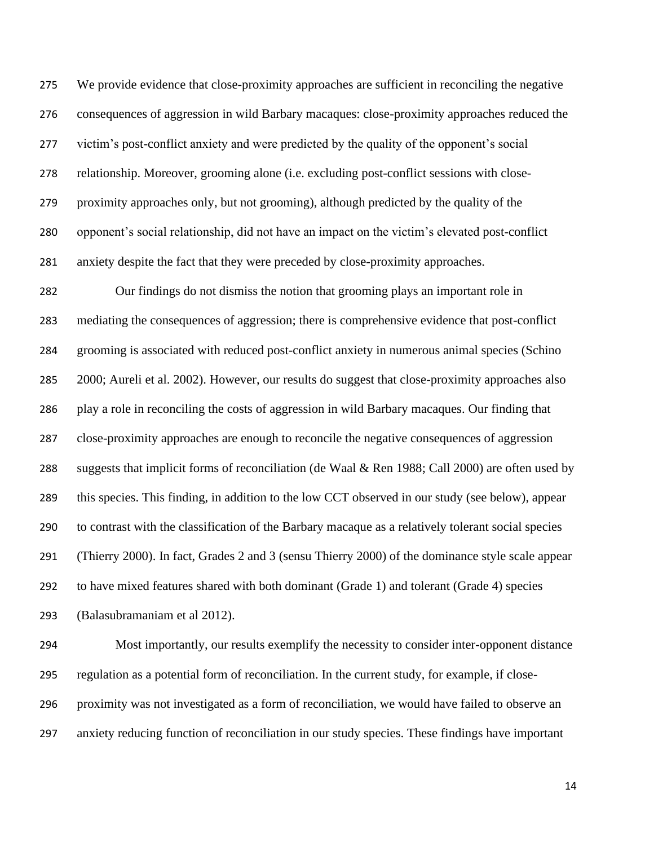We provide evidence that close-proximity approaches are sufficient in reconciling the negative consequences of aggression in wild Barbary macaques: close-proximity approaches reduced the victim's post-conflict anxiety and were predicted by the quality of the opponent's social relationship. Moreover, grooming alone (i.e. excluding post-conflict sessions with close- proximity approaches only, but not grooming), although predicted by the quality of the opponent's social relationship, did not have an impact on the victim's elevated post-conflict anxiety despite the fact that they were preceded by close-proximity approaches.

 Our findings do not dismiss the notion that grooming plays an important role in mediating the consequences of aggression; there is comprehensive evidence that post-conflict grooming is associated with reduced post-conflict anxiety in numerous animal species (Schino 2000; Aureli et al. 2002). However, our results do suggest that close-proximity approaches also play a role in reconciling the costs of aggression in wild Barbary macaques. Our finding that close-proximity approaches are enough to reconcile the negative consequences of aggression suggests that implicit forms of reconciliation (de Waal & Ren 1988; Call 2000) are often used by this species. This finding, in addition to the low CCT observed in our study (see below), appear to contrast with the classification of the Barbary macaque as a relatively tolerant social species (Thierry 2000). In fact, Grades 2 and 3 (sensu Thierry 2000) of the dominance style scale appear to have mixed features shared with both dominant (Grade 1) and tolerant (Grade 4) species (Balasubramaniam et al 2012).

 Most importantly, our results exemplify the necessity to consider inter-opponent distance regulation as a potential form of reconciliation. In the current study, for example, if close- proximity was not investigated as a form of reconciliation, we would have failed to observe an anxiety reducing function of reconciliation in our study species. These findings have important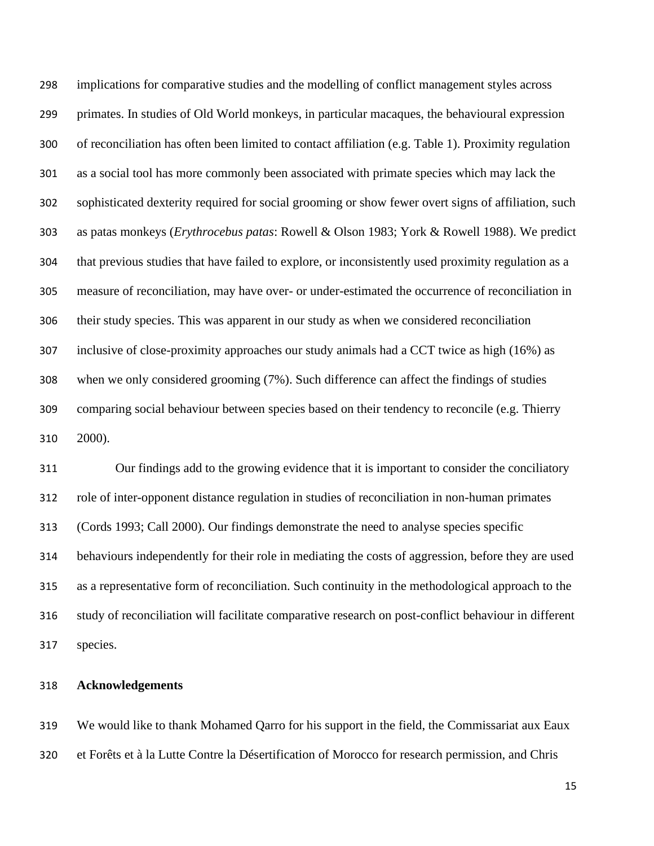implications for comparative studies and the modelling of conflict management styles across primates. In studies of Old World monkeys, in particular macaques, the behavioural expression of reconciliation has often been limited to contact affiliation (e.g. Table 1). Proximity regulation as a social tool has more commonly been associated with primate species which may lack the sophisticated dexterity required for social grooming or show fewer overt signs of affiliation, such as patas monkeys (*Erythrocebus patas*: Rowell & Olson 1983; York & Rowell 1988). We predict that previous studies that have failed to explore, or inconsistently used proximity regulation as a measure of reconciliation, may have over- or under-estimated the occurrence of reconciliation in their study species. This was apparent in our study as when we considered reconciliation inclusive of close-proximity approaches our study animals had a CCT twice as high (16%) as when we only considered grooming (7%). Such difference can affect the findings of studies comparing social behaviour between species based on their tendency to reconcile (e.g. Thierry 2000).

 Our findings add to the growing evidence that it is important to consider the conciliatory role of inter-opponent distance regulation in studies of reconciliation in non-human primates (Cords 1993; Call 2000). Our findings demonstrate the need to analyse species specific behaviours independently for their role in mediating the costs of aggression, before they are used as a representative form of reconciliation. Such continuity in the methodological approach to the study of reconciliation will facilitate comparative research on post-conflict behaviour in different species.

# **Acknowledgements**

 We would like to thank Mohamed Qarro for his support in the field, the Commissariat aux Eaux et Forêts et à la Lutte Contre la Désertification of Morocco for research permission, and Chris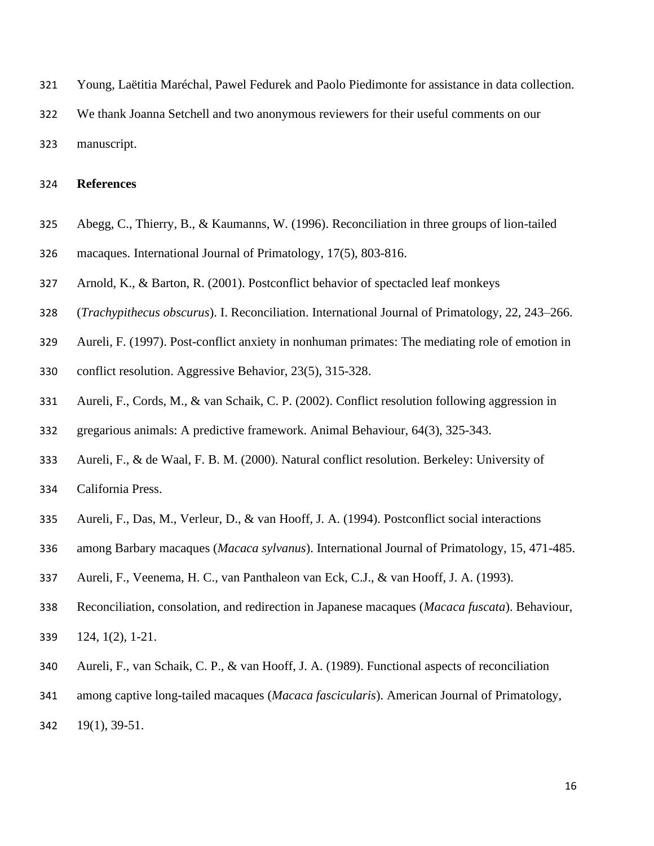- Young, Laëtitia Maréchal, Pawel Fedurek and Paolo Piedimonte for assistance in data collection.
- We thank Joanna Setchell and two anonymous reviewers for their useful comments on our manuscript.

### **References**

- Abegg, C., Thierry, B., & Kaumanns, W. (1996). Reconciliation in three groups of lion-tailed macaques. International Journal of Primatology, 17(5), 803-816.
- Arnold, K., & Barton, R. (2001). Postconflict behavior of spectacled leaf monkeys
- (*Trachypithecus obscurus*). I. Reconciliation. International Journal of Primatology, 22, 243–266.
- Aureli, F. (1997). Post-conflict anxiety in nonhuman primates: The mediating role of emotion in
- conflict resolution. Aggressive Behavior, 23(5), 315-328.
- Aureli, F., Cords, M., & van Schaik, C. P. (2002). Conflict resolution following aggression in
- gregarious animals: A predictive framework. Animal Behaviour, 64(3), 325-343.
- Aureli, F., & de Waal, F. B. M. (2000). Natural conflict resolution. Berkeley: University of
- California Press.
- Aureli, F., Das, M., Verleur, D., & van Hooff, J. A. (1994). Postconflict social interactions
- among Barbary macaques (*Macaca sylvanus*). International Journal of Primatology, 15, 471-485.
- Aureli, F., Veenema, H. C., van Panthaleon van Eck, C.J., & van Hooff, J. A. (1993).
- Reconciliation, consolation, and redirection in Japanese macaques (*Macaca fuscata*). Behaviour,
- 124, 1(2), 1-21.
- Aureli, F., van Schaik, C. P., & van Hooff, J. A. (1989). Functional aspects of reconciliation
- among captive long-tailed macaques (*Macaca fascicularis*). American Journal of Primatology,
- 19(1), 39-51.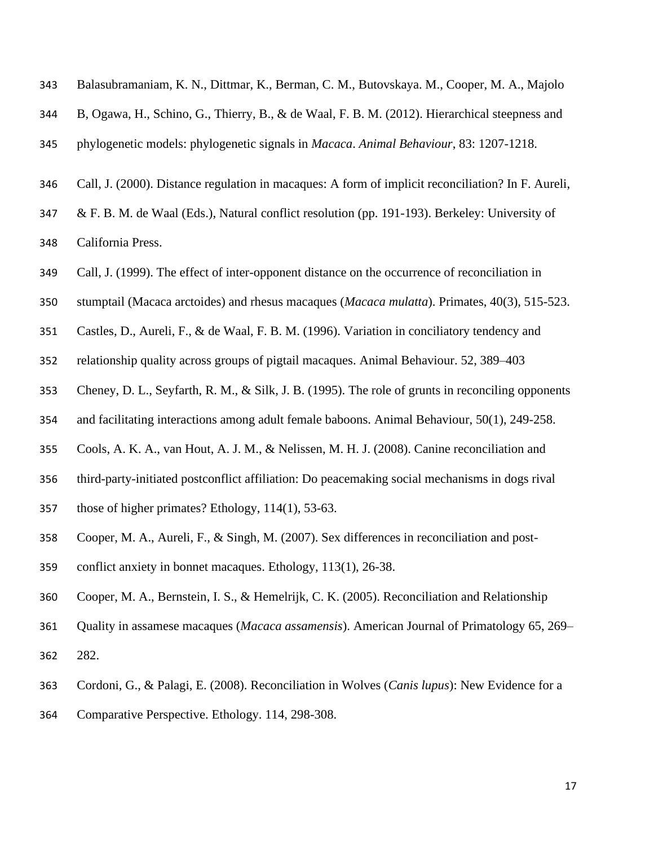| 343 | Balasubramaniam, K. N., Dittmar, K., Berman, C. M., Butovskaya. M., Cooper, M. A., Majolo          |
|-----|----------------------------------------------------------------------------------------------------|
| 344 | B, Ogawa, H., Schino, G., Thierry, B., & de Waal, F. B. M. (2012). Hierarchical steepness and      |
| 345 | phylogenetic models: phylogenetic signals in <i>Macaca. Animal Behaviour</i> , 83: 1207-1218.      |
| 346 | Call, J. (2000). Distance regulation in macaques: A form of implicit reconciliation? In F. Aureli, |
| 347 | & F. B. M. de Waal (Eds.), Natural conflict resolution (pp. 191-193). Berkeley: University of      |
| 348 | California Press.                                                                                  |
| 349 | Call, J. (1999). The effect of inter-opponent distance on the occurrence of reconciliation in      |

- stumptail (Macaca arctoides) and rhesus macaques (*Macaca mulatta*). Primates, 40(3), 515-523.
- Castles, D., Aureli, F., & de Waal, F. B. M. (1996). Variation in conciliatory tendency and
- relationship quality across groups of pigtail macaques. Animal Behaviour. 52, 389–403
- Cheney, D. L., Seyfarth, R. M., & Silk, J. B. (1995). The role of grunts in reconciling opponents
- and facilitating interactions among adult female baboons. Animal Behaviour, 50(1), 249-258.
- Cools, A. K. A., van Hout, A. J. M., & Nelissen, M. H. J. (2008). Canine reconciliation and
- third-party-initiated postconflict affiliation: Do peacemaking social mechanisms in dogs rival
- those of higher primates? Ethology, 114(1), 53-63.
- Cooper, M. A., Aureli, F., & Singh, M. (2007). Sex differences in reconciliation and post-
- conflict anxiety in bonnet macaques. Ethology, 113(1), 26-38.
- Cooper, M. A., Bernstein, I. S., & Hemelrijk, C. K. (2005). Reconciliation and Relationship
- Quality in assamese macaques (*Macaca assamensis*). American Journal of Primatology 65, 269– 282.
- Cordoni, G., & Palagi, E. (2008). Reconciliation in Wolves (*Canis lupus*): New Evidence for a
- Comparative Perspective. Ethology. 114, 298-308.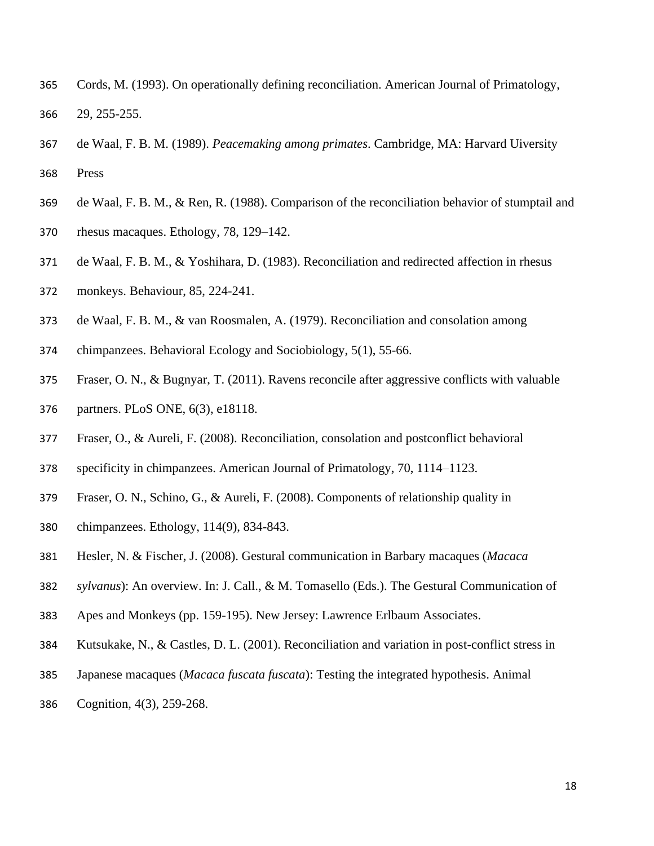- Cords, M. (1993). On operationally defining reconciliation. American Journal of Primatology, 29, 255-255.
- de Waal, F. B. M. (1989). *Peacemaking among primates*. Cambridge, MA: Harvard Uiversity Press
- de Waal, F. B. M., & Ren, R. (1988). Comparison of the reconciliation behavior of stumptail and
- rhesus macaques. Ethology, 78, 129–142.
- de Waal, F. B. M., & Yoshihara, D. (1983). Reconciliation and redirected affection in rhesus
- monkeys. Behaviour, 85, 224-241.
- de Waal, F. B. M., & van Roosmalen, A. (1979). Reconciliation and consolation among
- chimpanzees. Behavioral Ecology and Sociobiology, 5(1), 55-66.
- Fraser, O. N., & Bugnyar, T. (2011). Ravens reconcile after aggressive conflicts with valuable partners. PLoS ONE, 6(3), e18118.
- Fraser, O., & Aureli, F. (2008). Reconciliation, consolation and postconflict behavioral
- specificity in chimpanzees. American Journal of Primatology, 70, 1114–1123.
- Fraser, O. N., Schino, G., & Aureli, F. (2008). Components of relationship quality in
- chimpanzees. Ethology, 114(9), 834-843.
- Hesler, N. & Fischer, J. (2008). Gestural communication in Barbary macaques (*Macaca*
- *sylvanus*): An overview. In: J. Call., & M. Tomasello (Eds.). The Gestural Communication of
- Apes and Monkeys (pp. 159-195). New Jersey: Lawrence Erlbaum Associates.
- Kutsukake, N., & Castles, D. L. (2001). Reconciliation and variation in post-conflict stress in
- Japanese macaques (*Macaca fuscata fuscata*): Testing the integrated hypothesis. Animal
- Cognition, 4(3), 259-268.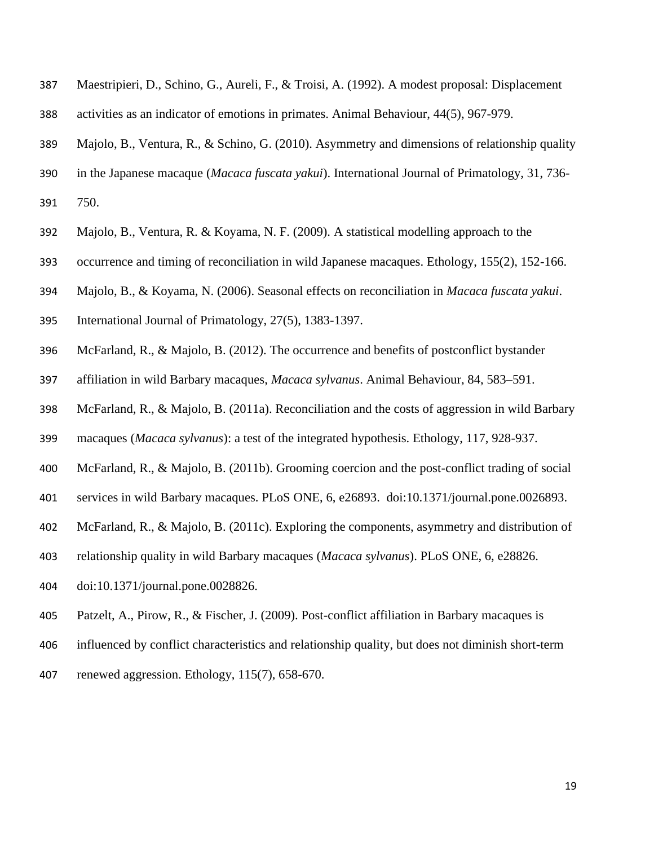- Maestripieri, D., Schino, G., Aureli, F., & Troisi, A. (1992). A modest proposal: Displacement activities as an indicator of emotions in primates. Animal Behaviour, 44(5), 967-979.
- Majolo, B., Ventura, R., & Schino, G. (2010). Asymmetry and dimensions of relationship quality
- in the Japanese macaque (*Macaca fuscata yakui*). International Journal of Primatology, 31, 736-
- 750.
- Majolo, B., Ventura, R. & Koyama, N. F. (2009). A statistical modelling approach to the
- occurrence and timing of reconciliation in wild Japanese macaques. Ethology, 155(2), 152-166.
- Majolo, B., & Koyama, N. (2006). Seasonal effects on reconciliation in *Macaca fuscata yakui*.
- International Journal of Primatology, 27(5), 1383-1397.
- McFarland, R., & Majolo, B. (2012). The occurrence and benefits of postconflict bystander
- affiliation in wild Barbary macaques, *Macaca sylvanus*. Animal Behaviour, 84, 583–591.
- McFarland, R., & Majolo, B. (2011a). Reconciliation and the costs of aggression in wild Barbary
- macaques (*Macaca sylvanus*): a test of the integrated hypothesis. Ethology, 117, 928-937.
- McFarland, R., & Majolo, B. (2011b). Grooming coercion and the post-conflict trading of social
- services in wild Barbary macaques. PLoS ONE, 6, e26893. doi:10.1371/journal.pone.0026893.
- McFarland, R., & Majolo, B. (2011c). Exploring the components, asymmetry and distribution of
- relationship quality in wild Barbary macaques (*Macaca sylvanus*). PLoS ONE, 6, e28826.
- doi:10.1371/journal.pone.0028826.
- Patzelt, A., Pirow, R., & Fischer, J. (2009). Post-conflict affiliation in Barbary macaques is
- influenced by conflict characteristics and relationship quality, but does not diminish short-term
- renewed aggression. Ethology, 115(7), 658-670.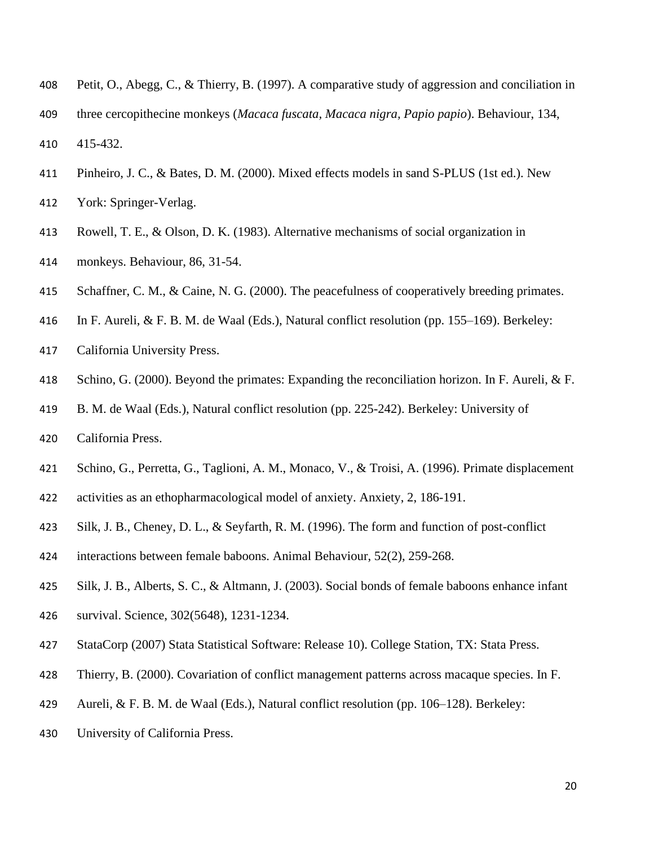- Petit, O., Abegg, C., & Thierry, B. (1997). A comparative study of aggression and conciliation in
- three cercopithecine monkeys (*Macaca fuscata, Macaca nigra, Papio papio*). Behaviour, 134,

415-432.

Pinheiro, J. C., & Bates, D. M. (2000). Mixed effects models in sand S-PLUS (1st ed.). New

York: Springer-Verlag.

- Rowell, T. E., & Olson, D. K. (1983). Alternative mechanisms of social organization in
- monkeys. Behaviour, 86, 31-54.
- 415 Schaffner, C. M., & Caine, N. G. (2000). The peacefulness of cooperatively breeding primates.
- In F. Aureli, & F. B. M. de Waal (Eds.), Natural conflict resolution (pp. 155–169). Berkeley:
- California University Press.
- Schino, G. (2000). Beyond the primates: Expanding the reconciliation horizon. In F. Aureli, & F.
- B. M. de Waal (Eds.), Natural conflict resolution (pp. 225-242). Berkeley: University of
- California Press.
- Schino, G., Perretta, G., Taglioni, A. M., Monaco, V., & Troisi, A. (1996). Primate displacement
- activities as an ethopharmacological model of anxiety. Anxiety, 2, 186-191.
- Silk, J. B., Cheney, D. L., & Seyfarth, R. M. (1996). The form and function of post-conflict
- interactions between female baboons. Animal Behaviour, 52(2), 259-268.
- Silk, J. B., Alberts, S. C., & Altmann, J. (2003). Social bonds of female baboons enhance infant
- survival. Science, 302(5648), 1231-1234.
- StataCorp (2007) Stata Statistical Software: Release 10). College Station, TX: Stata Press.
- Thierry, B. (2000). Covariation of conflict management patterns across macaque species. In F.
- Aureli, & F. B. M. de Waal (Eds.), Natural conflict resolution (pp. 106–128). Berkeley:
- University of California Press.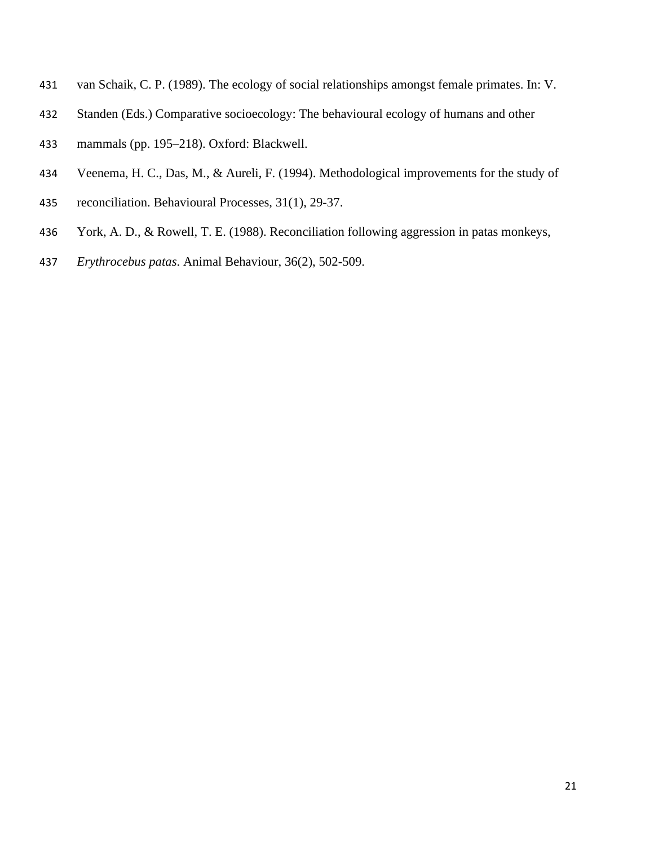- van Schaik, C. P. (1989). The ecology of social relationships amongst female primates. In: V.
- Standen (Eds.) Comparative socioecology: The behavioural ecology of humans and other
- mammals (pp. 195–218). Oxford: Blackwell.
- Veenema, H. C., Das, M., & Aureli, F. (1994). Methodological improvements for the study of
- reconciliation. Behavioural Processes, 31(1), 29-37.
- York, A. D., & Rowell, T. E. (1988). Reconciliation following aggression in patas monkeys,
- *Erythrocebus patas*. Animal Behaviour, 36(2), 502-509.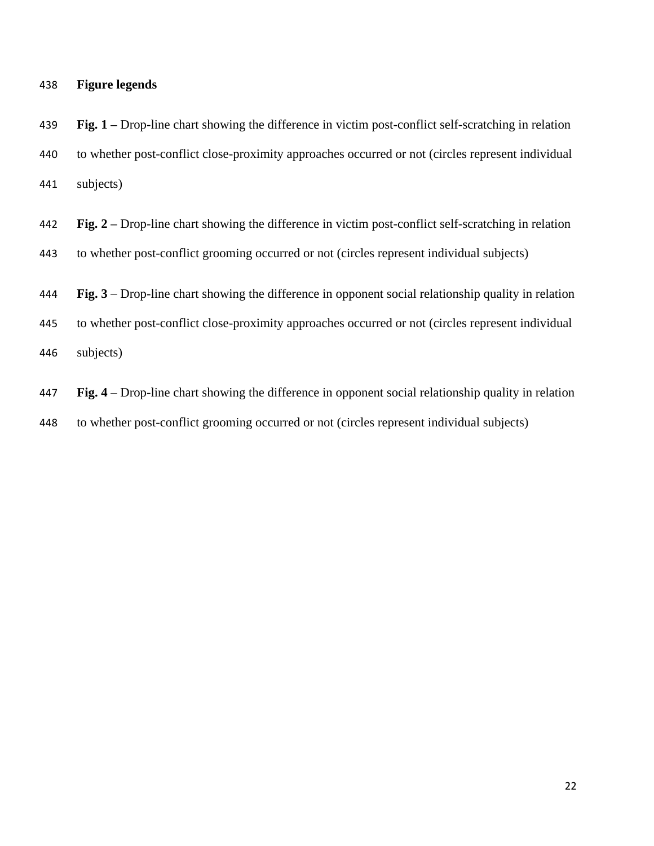# **Figure legends**

 **Fig. 1 –** Drop-line chart showing the difference in victim post-conflict self-scratching in relation to whether post-conflict close-proximity approaches occurred or not (circles represent individual subjects)

- **Fig. 2 –** Drop-line chart showing the difference in victim post-conflict self-scratching in relation to whether post-conflict grooming occurred or not (circles represent individual subjects)
- **Fig. 3** Drop-line chart showing the difference in opponent social relationship quality in relation
- to whether post-conflict close-proximity approaches occurred or not (circles represent individual subjects)
- **Fig. 4** Drop-line chart showing the difference in opponent social relationship quality in relation to whether post-conflict grooming occurred or not (circles represent individual subjects)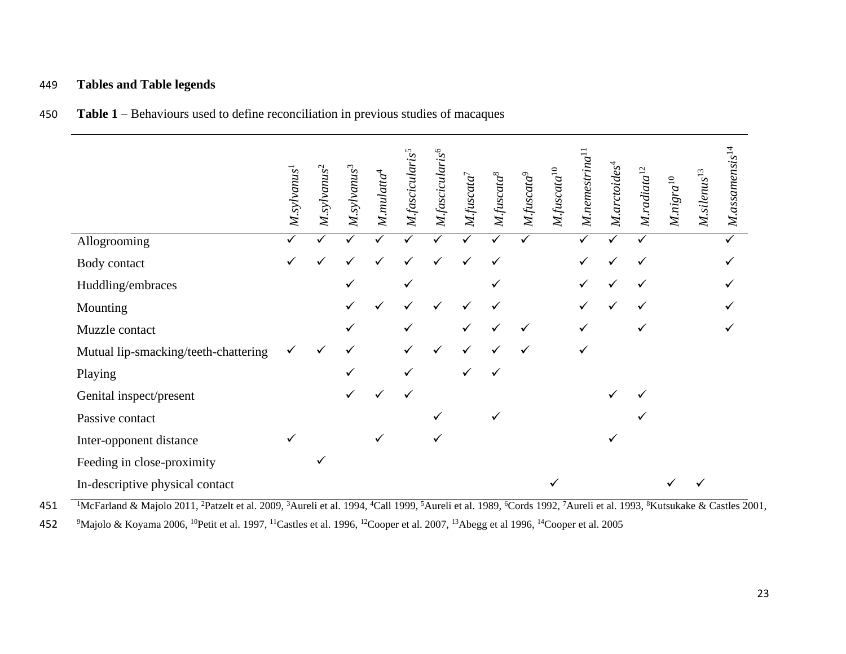# 449 **Tables and Table legends**

|                                      | $M$ .sylvanus $^1$ | $M$ .sylvanus <sup>2</sup> | $M$ .sylvanus $^3$ | $M.mulata^4$ | M.fasciculari | M.fascicularis <sup>6</sup> | $M$ .fuscata <sup>7</sup> | M.fuscata <sup>8</sup> | $M$ .fuscata $^{9}$ | M.fuscata | $M$ .nemestrin $a1$ | M. arctoides <sup>4</sup> | $M.$ radiata $12$ | $M.nigra^{10}$ | $\omega$<br>$M$ .silenus <sup>1</sup> | $M$ .assamensis $^{14}$ |
|--------------------------------------|--------------------|----------------------------|--------------------|--------------|---------------|-----------------------------|---------------------------|------------------------|---------------------|-----------|---------------------|---------------------------|-------------------|----------------|---------------------------------------|-------------------------|
| Allogrooming                         |                    |                            |                    |              |               |                             |                           |                        |                     |           |                     |                           |                   |                |                                       |                         |
| Body contact                         | ✓                  | ✓                          |                    |              |               |                             |                           | ✓                      |                     |           |                     |                           | ✓                 |                |                                       |                         |
| Huddling/embraces                    |                    |                            |                    |              |               |                             |                           |                        |                     |           |                     |                           |                   |                |                                       |                         |
| Mounting                             |                    |                            |                    |              |               |                             |                           |                        |                     |           |                     |                           |                   |                |                                       |                         |
| Muzzle contact                       |                    |                            |                    |              |               |                             |                           |                        | ✓                   |           |                     |                           |                   |                |                                       |                         |
| Mutual lip-smacking/teeth-chattering |                    | $\checkmark$               |                    |              |               |                             |                           |                        |                     |           |                     |                           |                   |                |                                       |                         |
| Playing                              |                    |                            | ✓                  |              | ✓             |                             |                           |                        |                     |           |                     |                           |                   |                |                                       |                         |
| Genital inspect/present              |                    |                            |                    |              | ✓             |                             |                           |                        |                     |           |                     |                           |                   |                |                                       |                         |
| Passive contact                      |                    |                            |                    |              |               |                             |                           |                        |                     |           |                     |                           |                   |                |                                       |                         |
| Inter-opponent distance              | ✓                  |                            |                    |              |               |                             |                           |                        |                     |           |                     |                           |                   |                |                                       |                         |
| Feeding in close-proximity           |                    | ✓                          |                    |              |               |                             |                           |                        |                     |           |                     |                           |                   |                |                                       |                         |
| In-descriptive physical contact      |                    |                            |                    |              |               |                             |                           |                        |                     |           |                     |                           |                   |                |                                       |                         |

450 **Table 1** – Behaviours used to define reconciliation in previous studies of macaques

<sup>1</sup>McFarland & Majolo 2011, <sup>2</sup>Patzelt et al. 2009, <sup>3</sup>Aureli et al. 1994, <sup>4</sup>Call 1999, <sup>5</sup>Aureli et al. 1989, <sup>6</sup>Cords 1992, <sup>7</sup>Aureli et al. 1993, <sup>8</sup>Kutsukake & Castles 2001,

452 <sup>9</sup>Majolo & Koyama 2006, <sup>10</sup>Petit et al. 1997, <sup>11</sup>Castles et al. 1996, <sup>12</sup>Cooper et al. 2007, <sup>13</sup>Abegg et al 1996, <sup>14</sup>Cooper et al. 2005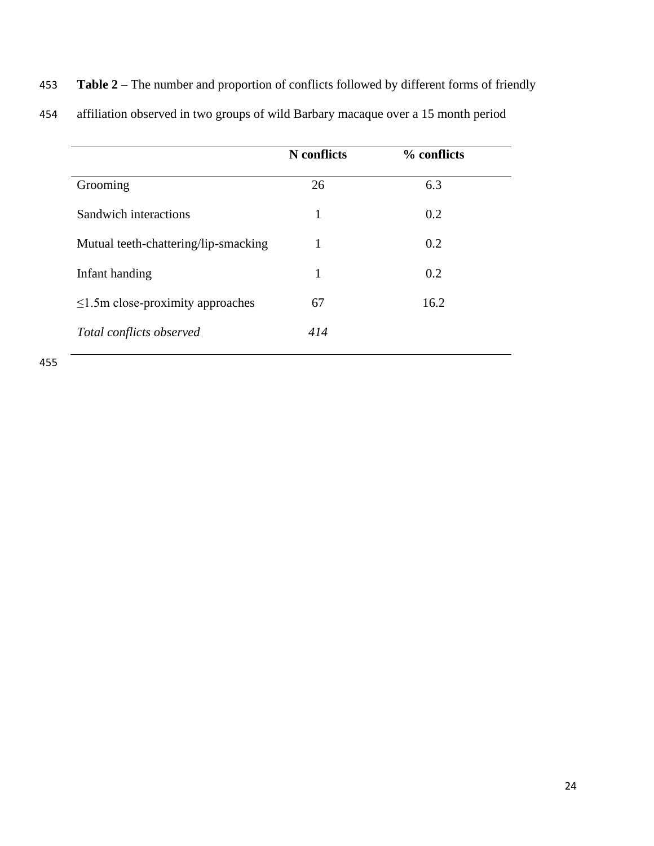|  | 453 Table 2 – The number and proportion of conflicts followed by different forms of friendly |  |  |  |  |
|--|----------------------------------------------------------------------------------------------|--|--|--|--|
|--|----------------------------------------------------------------------------------------------|--|--|--|--|

|                                        | N conflicts | % conflicts |
|----------------------------------------|-------------|-------------|
| Grooming                               | 26          | 6.3         |
| Sandwich interactions                  | 1           | 0.2         |
| Mutual teeth-chattering/lip-smacking   |             | 0.2         |
| Infant handing                         | 1           | 0.2         |
| $\leq$ 1.5m close-proximity approaches | 67          | 16.2        |
| Total conflicts observed               | 414         |             |

454 affiliation observed in two groups of wild Barbary macaque over a 15 month period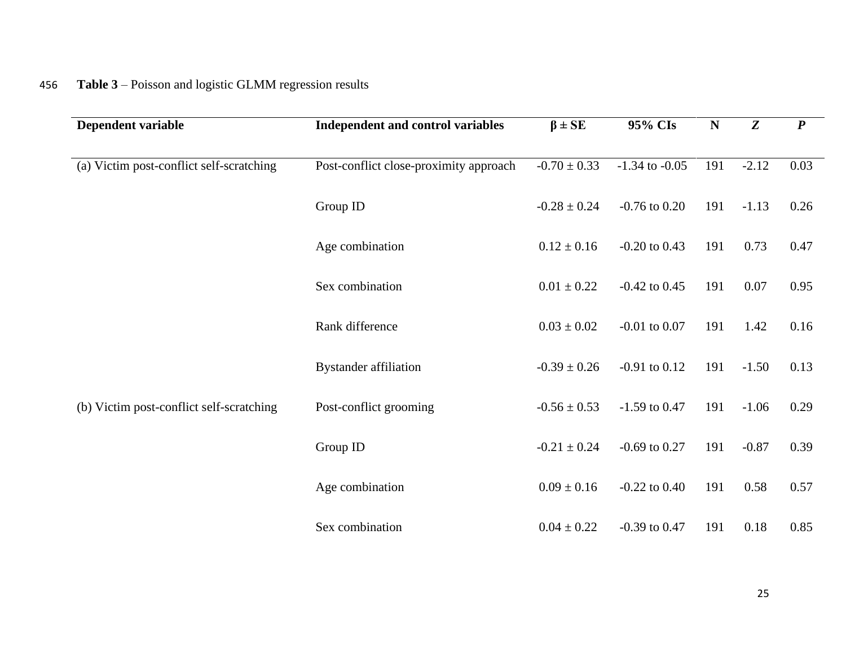# 456 **Table 3** – Poisson and logistic GLMM regression results

| Dependent variable                       | Independent and control variables      | $\beta \pm SE$   | 95% CIs            | $\mathbf N$ | Z       | $\boldsymbol{P}$ |
|------------------------------------------|----------------------------------------|------------------|--------------------|-------------|---------|------------------|
| (a) Victim post-conflict self-scratching | Post-conflict close-proximity approach | $-0.70 \pm 0.33$ | $-1.34$ to $-0.05$ | 191         | $-2.12$ | 0.03             |
|                                          | Group ID                               | $-0.28 \pm 0.24$ | $-0.76$ to $0.20$  | 191         | $-1.13$ | 0.26             |
|                                          | Age combination                        | $0.12 \pm 0.16$  | $-0.20$ to $0.43$  | 191         | 0.73    | 0.47             |
|                                          | Sex combination                        | $0.01 \pm 0.22$  | $-0.42$ to 0.45    | 191         | 0.07    | 0.95             |
|                                          | Rank difference                        | $0.03 \pm 0.02$  | $-0.01$ to $0.07$  | 191         | 1.42    | 0.16             |
|                                          | <b>Bystander affiliation</b>           | $-0.39 \pm 0.26$ | $-0.91$ to $0.12$  | 191         | $-1.50$ | 0.13             |
| (b) Victim post-conflict self-scratching | Post-conflict grooming                 | $-0.56 \pm 0.53$ | $-1.59$ to 0.47    | 191         | $-1.06$ | 0.29             |
|                                          | Group ID                               | $-0.21 \pm 0.24$ | $-0.69$ to $0.27$  | 191         | $-0.87$ | 0.39             |
|                                          | Age combination                        | $0.09 \pm 0.16$  | $-0.22$ to $0.40$  | 191         | 0.58    | 0.57             |
|                                          | Sex combination                        | $0.04 \pm 0.22$  | $-0.39$ to 0.47    | 191         | 0.18    | 0.85             |